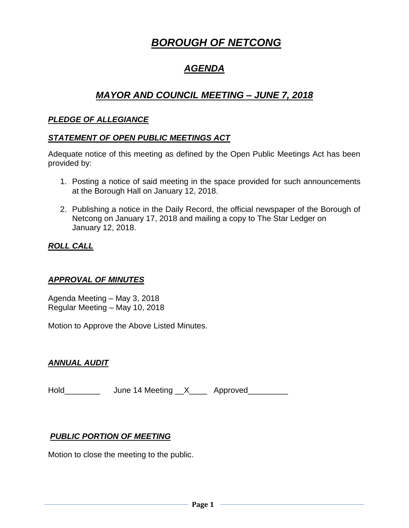# *BOROUGH OF NETCONG*

# *AGENDA*

# *MAYOR AND COUNCIL MEETING – JUNE 7, 2018*

#### *PLEDGE OF ALLEGIANCE*

#### *STATEMENT OF OPEN PUBLIC MEETINGS ACT*

Adequate notice of this meeting as defined by the Open Public Meetings Act has been provided by:

- 1. Posting a notice of said meeting in the space provided for such announcements at the Borough Hall on January 12, 2018.
- 2. Publishing a notice in the Daily Record, the official newspaper of the Borough of Netcong on January 17, 2018 and mailing a copy to The Star Ledger on January 12, 2018.

# *ROLL CALL*

# *APPROVAL OF MINUTES*

Agenda Meeting – May 3, 2018 Regular Meeting – May 10, 2018

Motion to Approve the Above Listed Minutes.

# *ANNUAL AUDIT*

Hold\_\_\_\_\_\_\_\_\_\_\_ June 14 Meeting \_\_X\_\_\_\_\_ Approved\_\_\_\_\_\_\_\_\_

#### *PUBLIC PORTION OF MEETING*

Motion to close the meeting to the public.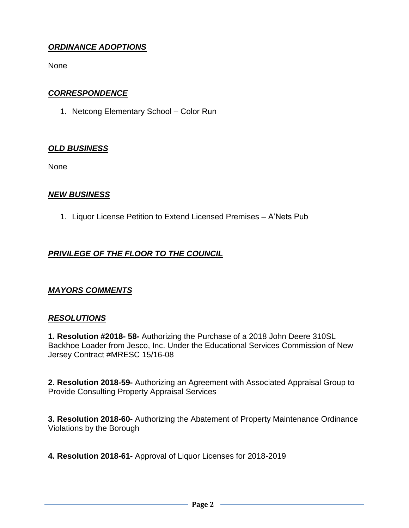# *ORDINANCE ADOPTIONS*

None

#### *CORRESPONDENCE*

1. Netcong Elementary School – Color Run

#### *OLD BUSINESS*

None

#### *NEW BUSINESS*

1. Liquor License Petition to Extend Licensed Premises – A'Nets Pub

# *PRIVILEGE OF THE FLOOR TO THE COUNCIL*

#### *MAYORS COMMENTS*

#### *RESOLUTIONS*

**1. Resolution #2018- 58-** Authorizing the Purchase of a 2018 John Deere 310SL Backhoe Loader from Jesco, Inc. Under the Educational Services Commission of New Jersey Contract #MRESC 15/16-08

**2. Resolution 2018-59-** Authorizing an Agreement with Associated Appraisal Group to Provide Consulting Property Appraisal Services

**3. Resolution 2018-60-** Authorizing the Abatement of Property Maintenance Ordinance Violations by the Borough

**4. Resolution 2018-61-** Approval of Liquor Licenses for 2018-2019